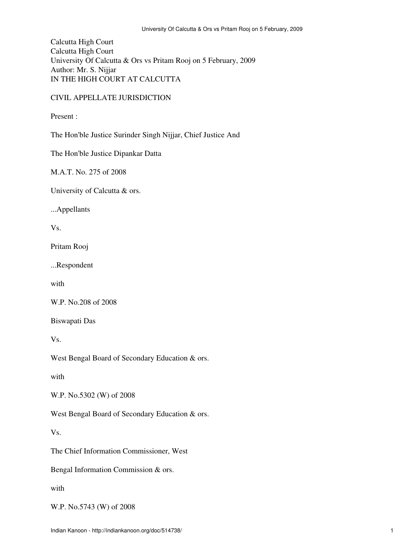Calcutta High Court Calcutta High Court University Of Calcutta & Ors vs Pritam Rooj on 5 February, 2009 Author: Mr. S. Nijjar IN THE HIGH COURT AT CALCUTTA

## CIVIL APPELLATE JURISDICTION

Present :

The Hon'ble Justice Surinder Singh Nijjar, Chief Justice And

The Hon'ble Justice Dipankar Datta

M.A.T. No. 275 of 2008

University of Calcutta & ors.

...Appellants

Vs.

Pritam Rooj

...Respondent

with

W.P. No.208 of 2008

Biswapati Das

Vs.

West Bengal Board of Secondary Education & ors.

with

W.P. No.5302 (W) of 2008

West Bengal Board of Secondary Education & ors.

Vs.

The Chief Information Commissioner, West

Bengal Information Commission & ors.

with

W.P. No.5743 (W) of 2008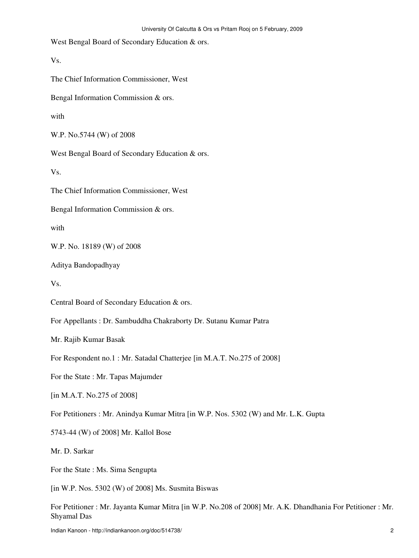West Bengal Board of Secondary Education & ors.

Vs.

The Chief Information Commissioner, West

Bengal Information Commission & ors.

with

W.P. No.5744 (W) of 2008

West Bengal Board of Secondary Education & ors.

Vs.

The Chief Information Commissioner, West

Bengal Information Commission & ors.

with

W.P. No. 18189 (W) of 2008

Aditya Bandopadhyay

Vs.

Central Board of Secondary Education & ors.

For Appellants : Dr. Sambuddha Chakraborty Dr. Sutanu Kumar Patra

Mr. Rajib Kumar Basak

For Respondent no.1 : Mr. Satadal Chatterjee [in M.A.T. No.275 of 2008]

For the State : Mr. Tapas Majumder

[in M.A.T. No.275 of 2008]

For Petitioners : Mr. Anindya Kumar Mitra [in W.P. Nos. 5302 (W) and Mr. L.K. Gupta

5743-44 (W) of 2008] Mr. Kallol Bose

Mr. D. Sarkar

For the State : Ms. Sima Sengupta

[in W.P. Nos. 5302 (W) of 2008] Ms. Susmita Biswas

For Petitioner : Mr. Jayanta Kumar Mitra [in W.P. No.208 of 2008] Mr. A.K. Dhandhania For Petitioner : Mr. Shyamal Das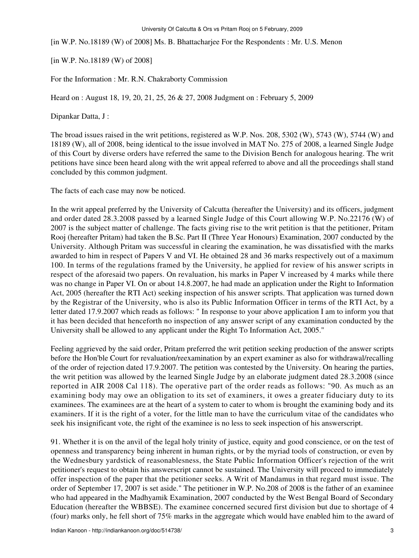[in W.P. No.18189 (W) of 2008] Ms. B. Bhattacharjee For the Respondents : Mr. U.S. Menon

[in W.P. No.18189 (W) of 2008]

For the Information : Mr. R.N. Chakraborty Commission

Heard on : August 18, 19, 20, 21, 25, 26 & 27, 2008 Judgment on : February 5, 2009

Dipankar Datta, J :

The broad issues raised in the writ petitions, registered as W.P. Nos. 208, 5302 (W), 5743 (W), 5744 (W) and 18189 (W), all of 2008, being identical to the issue involved in MAT No. 275 of 2008, a learned Single Judge of this Court by diverse orders have referred the same to the Division Bench for analogous hearing. The writ petitions have since been heard along with the writ appeal referred to above and all the proceedings shall stand concluded by this common judgment.

The facts of each case may now be noticed.

In the writ appeal preferred by the University of Calcutta (hereafter the University) and its officers, judgment and order dated 28.3.2008 passed by a learned Single Judge of this Court allowing W.P. No.22176 (W) of 2007 is the subject matter of challenge. The facts giving rise to the writ petition is that the petitioner, Pritam Rooj (hereafter Pritam) had taken the B.Sc. Part II (Three Year Honours) Examination, 2007 conducted by the University. Although Pritam was successful in clearing the examination, he was dissatisfied with the marks awarded to him in respect of Papers V and VI. He obtained 28 and 36 marks respectively out of a maximum 100. In terms of the regulations framed by the University, he applied for review of his answer scripts in respect of the aforesaid two papers. On revaluation, his marks in Paper V increased by 4 marks while there was no change in Paper VI. On or about 14.8.2007, he had made an application under the Right to Information Act, 2005 (hereafter the RTI Act) seeking inspection of his answer scripts. That application was turned down by the Registrar of the University, who is also its Public Information Officer in terms of the RTI Act, by a letter dated 17.9.2007 which reads as follows: " In response to your above application I am to inform you that it has been decided that henceforth no inspection of any answer script of any examination conducted by the University shall be allowed to any applicant under the Right To Information Act, 2005."

Feeling aggrieved by the said order, Pritam preferred the writ petition seeking production of the answer scripts before the Hon'ble Court for revaluation/reexamination by an expert examiner as also for withdrawal/recalling of the order of rejection dated 17.9.2007. The petition was contested by the University. On hearing the parties, the writ petition was allowed by the learned Single Judge by an elaborate judgment dated 28.3.2008 (since reported in AIR 2008 Cal 118). The operative part of the order reads as follows: "90. As much as an examining body may owe an obligation to its set of examiners, it owes a greater fiduciary duty to its examinees. The examinees are at the heart of a system to cater to whom is brought the examining body and its examiners. If it is the right of a voter, for the little man to have the curriculum vitae of the candidates who seek his insignificant vote, the right of the examinee is no less to seek inspection of his answerscript.

91. Whether it is on the anvil of the legal holy trinity of justice, equity and good conscience, or on the test of openness and transparency being inherent in human rights, or by the myriad tools of construction, or even by the Wednesbury yardstick of reasonablesness, the State Public Information Officer's rejection of the writ petitioner's request to obtain his answerscript cannot be sustained. The University will proceed to immediately offer inspection of the paper that the petitioner seeks. A Writ of Mandamus in that regard must issue. The order of September 17, 2007 is set aside." The petitioner in W.P. No.208 of 2008 is the father of an examinee who had appeared in the Madhyamik Examination, 2007 conducted by the West Bengal Board of Secondary Education (hereafter the WBBSE). The examinee concerned secured first division but due to shortage of 4 (four) marks only, he fell short of 75% marks in the aggregate which would have enabled him to the award of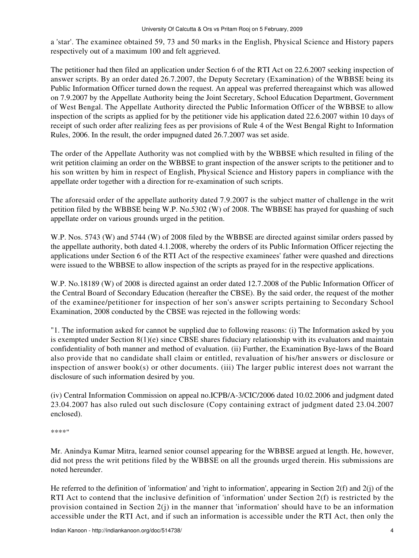a 'star'. The examinee obtained 59, 73 and 50 marks in the English, Physical Science and History papers respectively out of a maximum 100 and felt aggrieved.

The petitioner had then filed an application under Section 6 of the RTI Act on 22.6.2007 seeking inspection of answer scripts. By an order dated 26.7.2007, the Deputy Secretary (Examination) of the WBBSE being its Public Information Officer turned down the request. An appeal was preferred thereagainst which was allowed on 7.9.2007 by the Appellate Authority being the Joint Secretary, School Education Department, Government of West Bengal. The Appellate Authority directed the Public Information Officer of the WBBSE to allow inspection of the scripts as applied for by the petitioner vide his application dated 22.6.2007 within 10 days of receipt of such order after realizing fees as per provisions of Rule 4 of the West Bengal Right to Information Rules, 2006. In the result, the order impugned dated 26.7.2007 was set aside.

The order of the Appellate Authority was not complied with by the WBBSE which resulted in filing of the writ petition claiming an order on the WBBSE to grant inspection of the answer scripts to the petitioner and to his son written by him in respect of English, Physical Science and History papers in compliance with the appellate order together with a direction for re-examination of such scripts.

The aforesaid order of the appellate authority dated 7.9.2007 is the subject matter of challenge in the writ petition filed by the WBBSE being W.P. No.5302 (W) of 2008. The WBBSE has prayed for quashing of such appellate order on various grounds urged in the petition.

W.P. Nos. 5743 (W) and 5744 (W) of 2008 filed by the WBBSE are directed against similar orders passed by the appellate authority, both dated 4.1.2008, whereby the orders of its Public Information Officer rejecting the applications under Section 6 of the RTI Act of the respective examinees' father were quashed and directions were issued to the WBBSE to allow inspection of the scripts as prayed for in the respective applications.

W.P. No.18189 (W) of 2008 is directed against an order dated 12.7.2008 of the Public Information Officer of the Central Board of Secondary Education (hereafter the CBSE). By the said order, the request of the mother of the examinee/petitioner for inspection of her son's answer scripts pertaining to Secondary School Examination, 2008 conducted by the CBSE was rejected in the following words:

"1. The information asked for cannot be supplied due to following reasons: (i) The Information asked by you is exempted under Section  $8(1)(e)$  since CBSE shares fiduciary relationship with its evaluators and maintain confidentiality of both manner and method of evaluation. (ii) Further, the Examination Bye-laws of the Board also provide that no candidate shall claim or entitled, revaluation of his/her answers or disclosure or inspection of answer book(s) or other documents. (iii) The larger public interest does not warrant the disclosure of such information desired by you.

(iv) Central Information Commission on appeal no.ICPB/A-3/CIC/2006 dated 10.02.2006 and judgment dated 23.04.2007 has also ruled out such disclosure (Copy containing extract of judgment dated 23.04.2007 enclosed).

\*\*\*\*"

Mr. Anindya Kumar Mitra, learned senior counsel appearing for the WBBSE argued at length. He, however, did not press the writ petitions filed by the WBBSE on all the grounds urged therein. His submissions are noted hereunder.

He referred to the definition of 'information' and 'right to information', appearing in Section 2(f) and 2(j) of the RTI Act to contend that the inclusive definition of 'information' under Section 2(f) is restricted by the provision contained in Section  $2(j)$  in the manner that 'information' should have to be an information accessible under the RTI Act, and if such an information is accessible under the RTI Act, then only the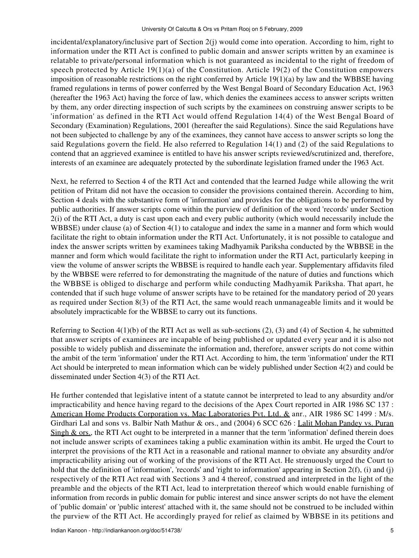incidental/explanatory/inclusive part of Section 2(j) would come into operation. According to him, right to information under the RTI Act is confined to public domain and answer scripts written by an examinee is relatable to private/personal information which is not guaranteed as incidental to the right of freedom of speech protected by Article 19(1)(a) of the Constitution. Article 19(2) of the Constitution empowers imposition of reasonable restrictions on the right conferred by Article  $19(1)(a)$  by law and the WBBSE having framed regulations in terms of power conferred by the West Bengal Board of Secondary Education Act, 1963 (hereafter the 1963 Act) having the force of law, which denies the examinees access to answer scripts written by them, any order directing inspection of such scripts by the examinees on construing answer scripts to be 'information' as defined in the RTI Act would offend Regulation 14(4) of the West Bengal Board of Secondary (Examination) Regulations, 2001 (hereafter the said Regulations). Since the said Regulations have not been subjected to challenge by any of the examinees, they cannot have access to answer scripts so long the said Regulations govern the field. He also referred to Regulation 14(1) and (2) of the said Regulations to contend that an aggrieved examinee is entitled to have his answer scripts reviewed/scrutinized and, therefore, interests of an examinee are adequately protected by the subordinate legislation framed under the 1963 Act.

Next, he referred to Section 4 of the RTI Act and contended that the learned Judge while allowing the writ petition of Pritam did not have the occasion to consider the provisions contained therein. According to him, Section 4 deals with the substantive form of 'information' and provides for the obligations to be performed by public authorities. If answer scripts come within the purview of definition of the word 'records' under Section 2(i) of the RTI Act, a duty is cast upon each and every public authority (which would necessarily include the WBBSE) under clause (a) of Section 4(1) to catalogue and index the same in a manner and form which would facilitate the right to obtain information under the RTI Act. Unfortunately, it is not possible to catalogue and index the answer scripts written by examinees taking Madhyamik Pariksha conducted by the WBBSE in the manner and form which would facilitate the right to information under the RTI Act, particularly keeping in view the volume of answer scripts the WBBSE is required to handle each year. Supplementary affidavits filed by the WBBSE were referred to for demonstrating the magnitude of the nature of duties and functions which the WBBSE is obliged to discharge and perform while conducting Madhyamik Pariksha. That apart, he contended that if such huge volume of answer scripts have to be retained for the mandatory period of 20 years as required under Section 8(3) of the RTI Act, the same would reach unmanageable limits and it would be absolutely impracticable for the WBBSE to carry out its functions.

Referring to Section  $4(1)(b)$  of the RTI Act as well as sub-sections (2), (3) and (4) of Section 4, he submitted that answer scripts of examinees are incapable of being published or updated every year and it is also not possible to widely publish and disseminate the information and, therefore, answer scripts do not come within the ambit of the term 'information' under the RTI Act. According to him, the term 'information' under the RTI Act should be interpreted to mean information which can be widely published under Section 4(2) and could be disseminated under Section 4(3) of the RTI Act.

He further contended that legislative intent of a statute cannot be interpreted to lead to any absurdity and/or impracticability and hence having regard to the decisions of the Apex Court reported in AIR 1986 SC 137 : American Home Products Corporation vs. Mac Laboratories Pvt. Ltd. & anr., AIR 1986 SC 1499 : M/s. Girdhari Lal and sons vs. Balbir Nath Mathur & ors., and (2004) 6 SCC 626 : Lalit Mohan Pandey vs. Puran Singh  $&$  ors., the RTI Act ought to be interpreted in a manner that the term 'information' defined therein does not include answer scripts of examinees taking a public examination within its ambit. He urged the Court to interpret the provisions of the RTI Act in a reasonable and rational manner to obviate any absurdity and/or impracticability arising out of working of the provisions of the RTI Act. He strenuously urged the Court to hold that the definition of 'information', 'records' and 'right to information' appearing in Section 2(f), (i) and (j) respectively of the RTI Act read with Sections 3 and 4 thereof, construed and interpreted in the light of the preamble and the objects of the RTI Act, lead to interpretation thereof which would enable furnishing of information from records in public domain for public interest and since answer scripts do not have the element of 'public domain' or 'public interest' attached with it, the same should not be construed to be included within the purview of the RTI Act. He accordingly prayed for relief as claimed by WBBSE in its petitions and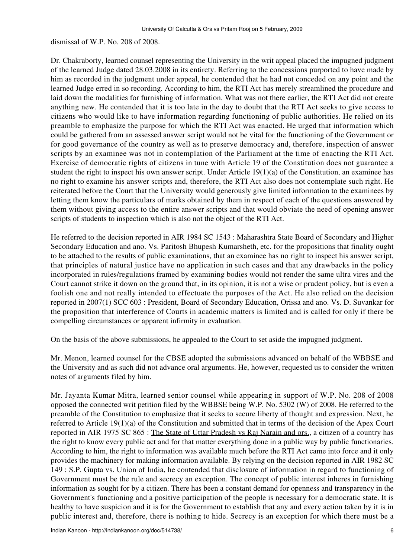dismissal of W.P. No. 208 of 2008.

Dr. Chakraborty, learned counsel representing the University in the writ appeal placed the impugned judgment of the learned Judge dated 28.03.2008 in its entirety. Referring to the concessions purported to have made by him as recorded in the judgment under appeal, he contended that he had not conceded on any point and the learned Judge erred in so recording. According to him, the RTI Act has merely streamlined the procedure and laid down the modalities for furnishing of information. What was not there earlier, the RTI Act did not create anything new. He contended that it is too late in the day to doubt that the RTI Act seeks to give access to citizens who would like to have information regarding functioning of public authorities. He relied on its preamble to emphasize the purpose for which the RTI Act was enacted. He urged that information which could be gathered from an assessed answer script would not be vital for the functioning of the Government or for good governance of the country as well as to preserve democracy and, therefore, inspection of answer scripts by an examinee was not in contemplation of the Parliament at the time of enacting the RTI Act. Exercise of democratic rights of citizens in tune with Article 19 of the Constitution does not guarantee a student the right to inspect his own answer script. Under Article 19(1)(a) of the Constitution, an examinee has no right to examine his answer scripts and, therefore, the RTI Act also does not contemplate such right. He reiterated before the Court that the University would generously give limited information to the examinees by letting them know the particulars of marks obtained by them in respect of each of the questions answered by them without giving access to the entire answer scripts and that would obviate the need of opening answer scripts of students to inspection which is also not the object of the RTI Act.

He referred to the decision reported in AIR 1984 SC 1543 : Maharashtra State Board of Secondary and Higher Secondary Education and ano. Vs. Paritosh Bhupesh Kumarsheth, etc. for the propositions that finality ought to be attached to the results of public examinations, that an examinee has no right to inspect his answer script, that principles of natural justice have no application in such cases and that any drawbacks in the policy incorporated in rules/regulations framed by examining bodies would not render the same ultra vires and the Court cannot strike it down on the ground that, in its opinion, it is not a wise or prudent policy, but is even a foolish one and not really intended to effectuate the purposes of the Act. He also relied on the decision reported in 2007(1) SCC 603 : President, Board of Secondary Education, Orissa and ano. Vs. D. Suvankar for the proposition that interference of Courts in academic matters is limited and is called for only if there be compelling circumstances or apparent infirmity in evaluation.

On the basis of the above submissions, he appealed to the Court to set aside the impugned judgment.

Mr. Menon, learned counsel for the CBSE adopted the submissions advanced on behalf of the WBBSE and the University and as such did not advance oral arguments. He, however, requested us to consider the written notes of arguments filed by him.

Mr. Jayanta Kumar Mitra, learned senior counsel while appearing in support of W.P. No. 208 of 2008 opposed the connected writ petition filed by the WBBSE being W.P. No. 5302 (W) of 2008. He referred to the preamble of the Constitution to emphasize that it seeks to secure liberty of thought and expression. Next, he referred to Article 19(1)(a) of the Constitution and submitted that in terms of the decision of the Apex Court reported in AIR 1975 SC 865 : The State of Uttar Pradesh vs Raj Narain and ors., a citizen of a country has the right to know every public act and for that matter everything done in a public way by public functionaries. According to him, the right to information was available much before the RTI Act came into force and it only provides the machinery for making information available. By relying on the decision reported in AIR 1982 SC 149 : S.P. Gupta vs. Union of India, he contended that disclosure of information in regard to functioning of Government must be the rule and secrecy an exception. The concept of public interest inheres in furnishing information as sought for by a citizen. There has been a constant demand for openness and transparency in the Government's functioning and a positive participation of the people is necessary for a democratic state. It is healthy to have suspicion and it is for the Government to establish that any and every action taken by it is in public interest and, therefore, there is nothing to hide. Secrecy is an exception for which there must be a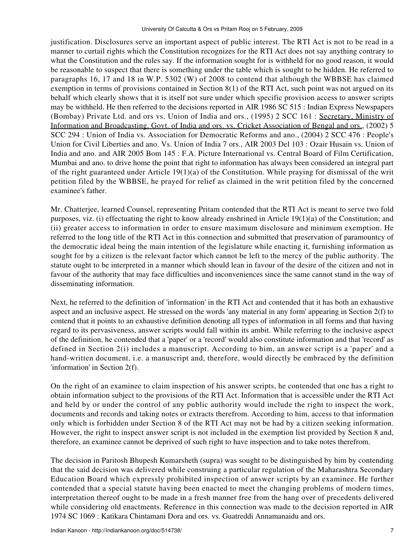justification. Disclosures serve an important aspect of public interest. The RTI Act is not to be read in a manner to curtail rights which the Constitution recognizes for the RTI Act does not say anything contrary to what the Constitution and the rules say. If the information sought for is withheld for no good reason, it would be reasonable to suspect that there is something under the table which is sought to be hidden. He referred to paragraphs 16, 17 and 18 in W.P. 5302 (W) of 2008 to contend that although the WBBSE has claimed exemption in terms of provisions contained in Section 8(1) of the RTI Act, such point was not argued on its behalf which clearly shows that it is itself not sure under which specific provision access to answer scripts may be withheld. He then referred to the decisions reported in AIR 1986 SC 515 : Indian Express Newspapers (Bombay) Private Ltd. and ors vs. Union of India and ors., (1995) 2 SCC 161 : Secretary, Ministry of Information and Broadcasting, Govt. of India and ors. vs. Cricket Association of Bengal and ors., (2002) 5 SCC 294 : Union of India vs. Association for Democratic Reforms and ano., (2004) 2 SCC 476 : People's Union for Civil Liberties and ano. Vs. Union of India 7 ors., AIR 2003 Del 103 : Ozair Husain vs. Union of India and ano. and AIR 2005 Bom 145 : F.A. Picture International vs. Central Board of Film Certification, Mumbai and ano. to drive home the point that right to information has always been considered an integral part of the right guaranteed under Article 19(1)(a) of the Constitution. While praying for dismissal of the writ petition filed by the WBBSE, he prayed for relief as claimed in the writ petition filed by the concerned examinee's father.

Mr. Chatterjee, learned Counsel, representing Pritam contended that the RTI Act is meant to serve two fold purposes, viz. (i) effectuating the right to know already enshrined in Article 19(1)(a) of the Constitution; and (ii) greater access to information in order to ensure maximum disclosure and minimum exemption. He referred to the long title of the RTI Act in this connection and submitted that preservation of paramountcy of the democratic ideal being the main intention of the legislature while enacting it, furnishing information as sought for by a citizen is the relevant factor which cannot be left to the mercy of the public authority. The statute ought to be interpreted in a manner which should lean in favour of the desire of the citizen and not in favour of the authority that may face difficulties and inconveniences since the same cannot stand in the way of disseminating information.

Next, he referred to the definition of 'information' in the RTI Act and contended that it has both an exhaustive aspect and an inclusive aspect. He stressed on the words 'any material in any form' appearing in Section 2(f) to contend that it points to an exhaustive definition denoting all types of information in all forms and that having regard to its pervasiveness, answer scripts would fall within its ambit. While referring to the inclusive aspect of the definition, he contended that a 'paper' or a 'record' would also constitute information and that 'record' as defined in Section 2(i) includes a manuscript. According to him, an answer script is a 'paper' and a hand-written document, i.e. a manuscript and, therefore, would directly be embraced by the definition 'information' in Section 2(f).

On the right of an examinee to claim inspection of his answer scripts, he contended that one has a right to obtain information subject to the provisions of the RTI Act. Information that is accessible under the RTI Act and held by or under the control of any public authority would include the right to inspect the work, documents and records and taking notes or extracts therefrom. According to him, access to that information only which is forbidden under Section 8 of the RTI Act may not be had by a citizen seeking information. However, the right to inspect answer script is not included in the exemption list provided by Section 8 and, therefore, an examinee cannot be deprived of such right to have inspection and to take notes therefrom.

The decision in Paritosh Bhupesh Kumarsheth (supra) was sought to be distinguished by him by contending that the said decision was delivered while construing a particular regulation of the Maharashtra Secondary Education Board which expressly prohibited inspection of answer scripts by an examinee. He further contended that a special statute having been enacted to meet the changing problems of modern times, interpretation thereof ought to be made in a fresh manner free from the hang over of precedents delivered while considering old enactments. Reference in this connection was made to the decision reported in AIR 1974 SC 1069 : Katikara Chintamani Dora and ors. vs. Guatreddi Annamanaidu and ors.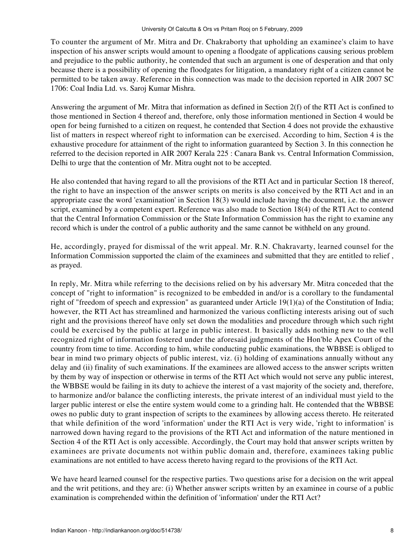To counter the argument of Mr. Mitra and Dr. Chakraborty that upholding an examinee's claim to have inspection of his answer scripts would amount to opening a floodgate of applications causing serious problem and prejudice to the public authority, he contended that such an argument is one of desperation and that only because there is a possibility of opening the floodgates for litigation, a mandatory right of a citizen cannot be permitted to be taken away. Reference in this connection was made to the decision reported in AIR 2007 SC 1706: Coal India Ltd. vs. Saroj Kumar Mishra.

Answering the argument of Mr. Mitra that information as defined in Section 2(f) of the RTI Act is confined to those mentioned in Section 4 thereof and, therefore, only those information mentioned in Section 4 would be open for being furnished to a citizen on request, he contended that Section 4 does not provide the exhaustive list of matters in respect whereof right to information can be exercised. According to him, Section 4 is the exhaustive procedure for attainment of the right to information guaranteed by Section 3. In this connection he referred to the decision reported in AIR 2007 Kerala 225 : Canara Bank vs. Central Information Commission, Delhi to urge that the contention of Mr. Mitra ought not to be accepted.

He also contended that having regard to all the provisions of the RTI Act and in particular Section 18 thereof, the right to have an inspection of the answer scripts on merits is also conceived by the RTI Act and in an appropriate case the word 'examination' in Section 18(3) would include having the document, i.e. the answer script, examined by a competent expert. Reference was also made to Section 18(4) of the RTI Act to contend that the Central Information Commission or the State Information Commission has the right to examine any record which is under the control of a public authority and the same cannot be withheld on any ground.

He, accordingly, prayed for dismissal of the writ appeal. Mr. R.N. Chakravarty, learned counsel for the Information Commission supported the claim of the examinees and submitted that they are entitled to relief , as prayed.

In reply, Mr. Mitra while referring to the decisions relied on by his adversary Mr. Mitra conceded that the concept of "right to information" is recognized to be embedded in and/or is a corollary to the fundamental right of "freedom of speech and expression" as guaranteed under Article 19(1)(a) of the Constitution of India; however, the RTI Act has streamlined and harmonized the various conflicting interests arising out of such right and the provisions thereof have only set down the modalities and procedure through which such right could be exercised by the public at large in public interest. It basically adds nothing new to the well recognized right of information fostered under the aforesaid judgments of the Hon'ble Apex Court of the country from time to time. According to him, while conducting public examinations, the WBBSE is obliged to bear in mind two primary objects of public interest, viz. (i) holding of examinations annually without any delay and (ii) finality of such examinations. If the examinees are allowed access to the answer scripts written by them by way of inspection or otherwise in terms of the RTI Act which would not serve any public interest, the WBBSE would be failing in its duty to achieve the interest of a vast majority of the society and, therefore, to harmonize and/or balance the conflicting interests, the private interest of an individual must yield to the larger public interest or else the entire system would come to a grinding halt. He contended that the WBBSE owes no public duty to grant inspection of scripts to the examinees by allowing access thereto. He reiterated that while definition of the word 'information' under the RTI Act is very wide, 'right to information' is narrowed down having regard to the provisions of the RTI Act and information of the nature mentioned in Section 4 of the RTI Act is only accessible. Accordingly, the Court may hold that answer scripts written by examinees are private documents not within public domain and, therefore, examinees taking public examinations are not entitled to have access thereto having regard to the provisions of the RTI Act.

We have heard learned counsel for the respective parties. Two questions arise for a decision on the writ appeal and the writ petitions, and they are: (i) Whether answer scripts written by an examinee in course of a public examination is comprehended within the definition of 'information' under the RTI Act?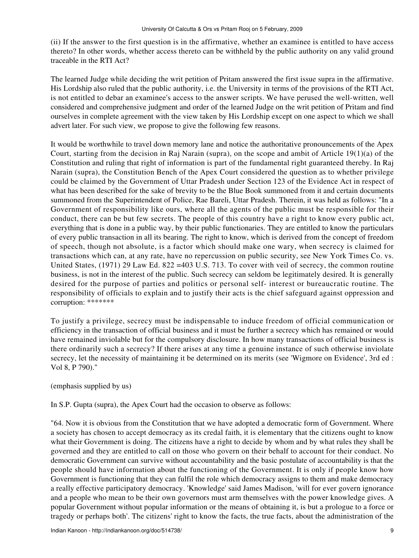(ii) If the answer to the first question is in the affirmative, whether an examinee is entitled to have access thereto? In other words, whether access thereto can be withheld by the public authority on any valid ground traceable in the RTI Act?

The learned Judge while deciding the writ petition of Pritam answered the first issue supra in the affirmative. His Lordship also ruled that the public authority, i.e. the University in terms of the provisions of the RTI Act, is not entitled to debar an examinee's access to the answer scripts. We have perused the well-written, well considered and comprehensive judgment and order of the learned Judge on the writ petition of Pritam and find ourselves in complete agreement with the view taken by His Lordship except on one aspect to which we shall advert later. For such view, we propose to give the following few reasons.

It would be worthwhile to travel down memory lane and notice the authoritative pronouncements of the Apex Court, starting from the decision in Raj Narain (supra), on the scope and ambit of Article 19(1)(a) of the Constitution and ruling that right of information is part of the fundamental right guaranteed thereby. In Raj Narain (supra), the Constitution Bench of the Apex Court considered the question as to whether privilege could be claimed by the Government of Uttar Pradesh under Section 123 of the Evidence Act in respect of what has been described for the sake of brevity to be the Blue Book summoned from it and certain documents summoned from the Superintendent of Police, Rae Bareli, Uttar Pradesh. Therein, it was held as follows: "In a Government of responsibility like ours, where all the agents of the public must be responsible for their conduct, there can be but few secrets. The people of this country have a right to know every public act, everything that is done in a public way, by their public functionaries. They are entitled to know the particulars of every public transaction in all its bearing. The right to know, which is derived from the concept of freedom of speech, though not absolute, is a factor which should make one wary, when secrecy is claimed for transactions which can, at any rate, have no repercussion on public security, see New York Times Co. vs. United States, (1971) 29 Law Ed. 822 = 403 U.S. 713. To cover with veil of secrecy, the common routine business, is not in the interest of the public. Such secrecy can seldom be legitimately desired. It is generally desired for the purpose of parties and politics or personal self- interest or bureaucratic routine. The responsibility of officials to explain and to justify their acts is the chief safeguard against oppression and corruption: \*\*\*\*\*\*\*

To justify a privilege, secrecy must be indispensable to induce freedom of official communication or efficiency in the transaction of official business and it must be further a secrecy which has remained or would have remained inviolable but for the compulsory disclosure. In how many transactions of official business is there ordinarily such a secrecy? If there arises at any time a genuine instance of such otherwise inviolate secrecy, let the necessity of maintaining it be determined on its merits (see 'Wigmore on Evidence', 3rd ed : Vol 8, P 790)."

(emphasis supplied by us)

In S.P. Gupta (supra), the Apex Court had the occasion to observe as follows:

"64. Now it is obvious from the Constitution that we have adopted a democratic form of Government. Where a society has chosen to accept democracy as its credal faith, it is elementary that the citizens ought to know what their Government is doing. The citizens have a right to decide by whom and by what rules they shall be governed and they are entitled to call on those who govern on their behalf to account for their conduct. No democratic Government can survive without accountability and the basic postulate of accountability is that the people should have information about the functioning of the Government. It is only if people know how Government is functioning that they can fulfil the role which democracy assigns to them and make democracy a really effective participatory democracy. 'Knowledge' said James Madison, 'will for ever govern ignorance and a people who mean to be their own governors must arm themselves with the power knowledge gives. A popular Government without popular information or the means of obtaining it, is but a prologue to a force or tragedy or perhaps both'. The citizens' right to know the facts, the true facts, about the administration of the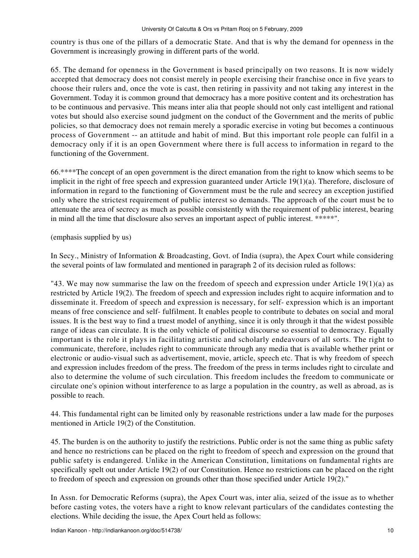country is thus one of the pillars of a democratic State. And that is why the demand for openness in the Government is increasingly growing in different parts of the world.

65. The demand for openness in the Government is based principally on two reasons. It is now widely accepted that democracy does not consist merely in people exercising their franchise once in five years to choose their rulers and, once the vote is cast, then retiring in passivity and not taking any interest in the Government. Today it is common ground that democracy has a more positive content and its orchestration has to be continuous and pervasive. This means inter alia that people should not only cast intelligent and rational votes but should also exercise sound judgment on the conduct of the Government and the merits of public policies, so that democracy does not remain merely a sporadic exercise in voting but becomes a continuous process of Government -- an attitude and habit of mind. But this important role people can fulfil in a democracy only if it is an open Government where there is full access to information in regard to the functioning of the Government.

66.\*\*\*\*The concept of an open government is the direct emanation from the right to know which seems to be implicit in the right of free speech and expression guaranteed under Article 19(1)(a). Therefore, disclosure of information in regard to the functioning of Government must be the rule and secrecy an exception justified only where the strictest requirement of public interest so demands. The approach of the court must be to attenuate the area of secrecy as much as possible consistently with the requirement of public interest, bearing in mind all the time that disclosure also serves an important aspect of public interest. \*\*\*\*\*".

## (emphasis supplied by us)

In Secy., Ministry of Information & Broadcasting, Govt. of India (supra), the Apex Court while considering the several points of law formulated and mentioned in paragraph 2 of its decision ruled as follows:

"43. We may now summarise the law on the freedom of speech and expression under Article  $19(1)(a)$  as restricted by Article 19(2). The freedom of speech and expression includes right to acquire information and to disseminate it. Freedom of speech and expression is necessary, for self- expression which is an important means of free conscience and self- fulfilment. It enables people to contribute to debates on social and moral issues. It is the best way to find a truest model of anything, since it is only through it that the widest possible range of ideas can circulate. It is the only vehicle of political discourse so essential to democracy. Equally important is the role it plays in facilitating artistic and scholarly endeavours of all sorts. The right to communicate, therefore, includes right to communicate through any media that is available whether print or electronic or audio-visual such as advertisement, movie, article, speech etc. That is why freedom of speech and expression includes freedom of the press. The freedom of the press in terms includes right to circulate and also to determine the volume of such circulation. This freedom includes the freedom to communicate or circulate one's opinion without interference to as large a population in the country, as well as abroad, as is possible to reach.

44. This fundamental right can be limited only by reasonable restrictions under a law made for the purposes mentioned in Article 19(2) of the Constitution.

45. The burden is on the authority to justify the restrictions. Public order is not the same thing as public safety and hence no restrictions can be placed on the right to freedom of speech and expression on the ground that public safety is endangered. Unlike in the American Constitution, limitations on fundamental rights are specifically spelt out under Article 19(2) of our Constitution. Hence no restrictions can be placed on the right to freedom of speech and expression on grounds other than those specified under Article 19(2)."

In Assn. for Democratic Reforms (supra), the Apex Court was, inter alia, seized of the issue as to whether before casting votes, the voters have a right to know relevant particulars of the candidates contesting the elections. While deciding the issue, the Apex Court held as follows: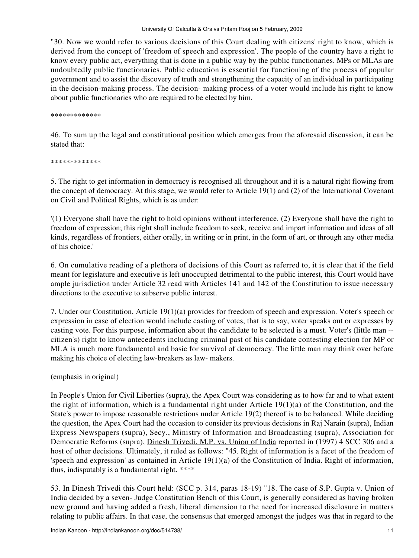"30. Now we would refer to various decisions of this Court dealing with citizens' right to know, which is derived from the concept of 'freedom of speech and expression'. The people of the country have a right to know every public act, everything that is done in a public way by the public functionaries. MPs or MLAs are undoubtedly public functionaries. Public education is essential for functioning of the process of popular government and to assist the discovery of truth and strengthening the capacity of an individual in participating in the decision-making process. The decision- making process of a voter would include his right to know about public functionaries who are required to be elected by him.

\*\*\*\*\*\*\*\*\*\*\*\*\*

46. To sum up the legal and constitutional position which emerges from the aforesaid discussion, it can be stated that:

\*\*\*\*\*\*\*\*\*\*\*\*\*

5. The right to get information in democracy is recognised all throughout and it is a natural right flowing from the concept of democracy. At this stage, we would refer to Article 19(1) and (2) of the International Covenant on Civil and Political Rights, which is as under:

'(1) Everyone shall have the right to hold opinions without interference. (2) Everyone shall have the right to freedom of expression; this right shall include freedom to seek, receive and impart information and ideas of all kinds, regardless of frontiers, either orally, in writing or in print, in the form of art, or through any other media of his choice.'

6. On cumulative reading of a plethora of decisions of this Court as referred to, it is clear that if the field meant for legislature and executive is left unoccupied detrimental to the public interest, this Court would have ample jurisdiction under Article 32 read with Articles 141 and 142 of the Constitution to issue necessary directions to the executive to subserve public interest.

7. Under our Constitution, Article 19(1)(a) provides for freedom of speech and expression. Voter's speech or expression in case of election would include casting of votes, that is to say, voter speaks out or expresses by casting vote. For this purpose, information about the candidate to be selected is a must. Voter's (little man - citizen's) right to know antecedents including criminal past of his candidate contesting election for MP or MLA is much more fundamental and basic for survival of democracy. The little man may think over before making his choice of electing law-breakers as law- makers.

(emphasis in original)

In People's Union for Civil Liberties (supra), the Apex Court was considering as to how far and to what extent the right of information, which is a fundamental right under Article  $19(1)(a)$  of the Constitution, and the State's power to impose reasonable restrictions under Article 19(2) thereof is to be balanced. While deciding the question, the Apex Court had the occasion to consider its previous decisions in Raj Narain (supra), Indian Express Newspapers (supra), Secy., Ministry of Information and Broadcasting (supra), Association for Democratic Reforms (supra), Dinesh Trivedi, M.P. vs. Union of India reported in (1997) 4 SCC 306 and a host of other decisions. Ultimately, it ruled as follows: "45. Right of information is a facet of the freedom of 'speech and expression' as contained in Article  $19(1)(a)$  of the Constitution of India. Right of information, thus, indisputably is a fundamental right. \*\*\*\*

53. In Dinesh Trivedi this Court held: (SCC p. 314, paras 18-19) "18. The case of S.P. Gupta v. Union of India decided by a seven- Judge Constitution Bench of this Court, is generally considered as having broken new ground and having added a fresh, liberal dimension to the need for increased disclosure in matters relating to public affairs. In that case, the consensus that emerged amongst the judges was that in regard to the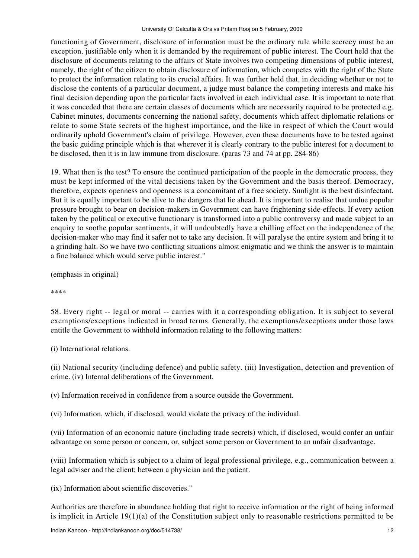functioning of Government, disclosure of information must be the ordinary rule while secrecy must be an exception, justifiable only when it is demanded by the requirement of public interest. The Court held that the disclosure of documents relating to the affairs of State involves two competing dimensions of public interest, namely, the right of the citizen to obtain disclosure of information, which competes with the right of the State to protect the information relating to its crucial affairs. It was further held that, in deciding whether or not to disclose the contents of a particular document, a judge must balance the competing interests and make his final decision depending upon the particular facts involved in each individual case. It is important to note that it was conceded that there are certain classes of documents which are necessarily required to be protected e.g. Cabinet minutes, documents concerning the national safety, documents which affect diplomatic relations or relate to some State secrets of the highest importance, and the like in respect of which the Court would ordinarily uphold Government's claim of privilege. However, even these documents have to be tested against the basic guiding principle which is that wherever it is clearly contrary to the public interest for a document to be disclosed, then it is in law immune from disclosure. (paras 73 and 74 at pp. 284-86)

19. What then is the test? To ensure the continued participation of the people in the democratic process, they must be kept informed of the vital decisions taken by the Government and the basis thereof. Democracy, therefore, expects openness and openness is a concomitant of a free society. Sunlight is the best disinfectant. But it is equally important to be alive to the dangers that lie ahead. It is important to realise that undue popular pressure brought to bear on decision-makers in Government can have frightening side-effects. If every action taken by the political or executive functionary is transformed into a public controversy and made subject to an enquiry to soothe popular sentiments, it will undoubtedly have a chilling effect on the independence of the decision-maker who may find it safer not to take any decision. It will paralyse the entire system and bring it to a grinding halt. So we have two conflicting situations almost enigmatic and we think the answer is to maintain a fine balance which would serve public interest."

(emphasis in original)

\*\*\*\*

58. Every right -- legal or moral -- carries with it a corresponding obligation. It is subject to several exemptions/exceptions indicated in broad terms. Generally, the exemptions/exceptions under those laws entitle the Government to withhold information relating to the following matters:

(i) International relations.

(ii) National security (including defence) and public safety. (iii) Investigation, detection and prevention of crime. (iv) Internal deliberations of the Government.

(v) Information received in confidence from a source outside the Government.

(vi) Information, which, if disclosed, would violate the privacy of the individual.

(vii) Information of an economic nature (including trade secrets) which, if disclosed, would confer an unfair advantage on some person or concern, or, subject some person or Government to an unfair disadvantage.

(viii) Information which is subject to a claim of legal professional privilege, e.g., communication between a legal adviser and the client; between a physician and the patient.

(ix) Information about scientific discoveries."

Authorities are therefore in abundance holding that right to receive information or the right of being informed is implicit in Article  $19(1)(a)$  of the Constitution subject only to reasonable restrictions permitted to be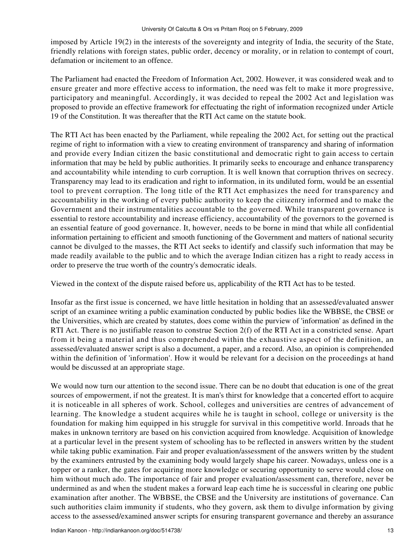imposed by Article 19(2) in the interests of the sovereignty and integrity of India, the security of the State, friendly relations with foreign states, public order, decency or morality, or in relation to contempt of court, defamation or incitement to an offence.

The Parliament had enacted the Freedom of Information Act, 2002. However, it was considered weak and to ensure greater and more effective access to information, the need was felt to make it more progressive, participatory and meaningful. Accordingly, it was decided to repeal the 2002 Act and legislation was proposed to provide an effective framework for effectuating the right of information recognized under Article 19 of the Constitution. It was thereafter that the RTI Act came on the statute book.

The RTI Act has been enacted by the Parliament, while repealing the 2002 Act, for setting out the practical regime of right to information with a view to creating environment of transparency and sharing of information and provide every Indian citizen the basic constitutional and democratic right to gain access to certain information that may be held by public authorities. It primarily seeks to encourage and enhance transparency and accountability while intending to curb corruption. It is well known that corruption thrives on secrecy. Transparency may lead to its eradication and right to information, in its undiluted form, would be an essential tool to prevent corruption. The long title of the RTI Act emphasizes the need for transparency and accountability in the working of every public authority to keep the citizenry informed and to make the Government and their instrumentalities accountable to the governed. While transparent governance is essential to restore accountability and increase efficiency, accountability of the governors to the governed is an essential feature of good governance. It, however, needs to be borne in mind that while all confidential information pertaining to efficient and smooth functioning of the Government and matters of national security cannot be divulged to the masses, the RTI Act seeks to identify and classify such information that may be made readily available to the public and to which the average Indian citizen has a right to ready access in order to preserve the true worth of the country's democratic ideals.

Viewed in the context of the dispute raised before us, applicability of the RTI Act has to be tested.

Insofar as the first issue is concerned, we have little hesitation in holding that an assessed/evaluated answer script of an examinee writing a public examination conducted by public bodies like the WBBSE, the CBSE or the Universities, which are created by statutes, does come within the purview of 'information' as defined in the RTI Act. There is no justifiable reason to construe Section 2(f) of the RTI Act in a constricted sense. Apart from it being a material and thus comprehended within the exhaustive aspect of the definition, an assessed/evaluated answer script is also a document, a paper, and a record. Also, an opinion is comprehended within the definition of 'information'. How it would be relevant for a decision on the proceedings at hand would be discussed at an appropriate stage.

We would now turn our attention to the second issue. There can be no doubt that education is one of the great sources of empowerment, if not the greatest. It is man's thirst for knowledge that a concerted effort to acquire it is noticeable in all spheres of work. School, colleges and universities are centres of advancement of learning. The knowledge a student acquires while he is taught in school, college or university is the foundation for making him equipped in his struggle for survival in this competitive world. Inroads that he makes in unknown territory are based on his conviction acquired from knowledge. Acquisition of knowledge at a particular level in the present system of schooling has to be reflected in answers written by the student while taking public examination. Fair and proper evaluation/assessment of the answers written by the student by the examiners entrusted by the examining body would largely shape his career. Nowadays, unless one is a topper or a ranker, the gates for acquiring more knowledge or securing opportunity to serve would close on him without much ado. The importance of fair and proper evaluation/assessment can, therefore, never be undermined as and when the student makes a forward leap each time he is successful in clearing one public examination after another. The WBBSE, the CBSE and the University are institutions of governance. Can such authorities claim immunity if students, who they govern, ask them to divulge information by giving access to the assessed/examined answer scripts for ensuring transparent governance and thereby an assurance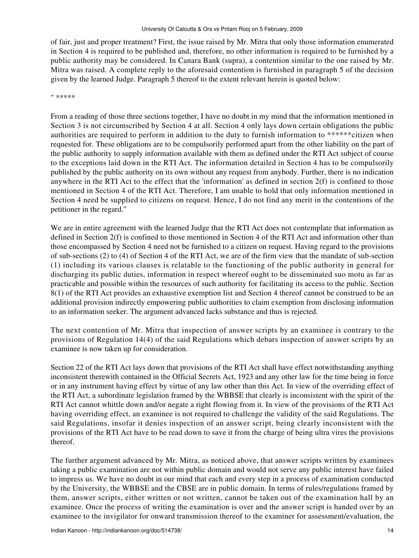of fair, just and proper treatment? First, the issue raised by Mr. Mitra that only those information enumerated in Section 4 is required to be published and, therefore, no other information is required to be furnished by a public authority may be considered. In Canara Bank (supra), a contention similar to the one raised by Mr. Mitra was raised. A complete reply to the aforesaid contention is furnished in paragraph 5 of the decision given by the learned Judge. Paragraph 5 thereof to the extent relevant herein is quoted below:

" \*\*\*\*\*

From a reading of those three sections together, I have no doubt in my mind that the information mentioned in Section 3 is not circumscribed by Section 4 at all. Section 4 only lays down certain obligations the public authorities are required to perform in addition to the duty to furnish information to \*\*\*\*\*\*citizen when requested for. These obligations are to be compulsorily performed apart from the other liability on the part of the public authority to supply information available with them as defined under the RTI Act subject of course to the exceptions laid down in the RTI Act. The information detailed in Section 4 has to be compulsorily published by the public authority on its own without any request from anybody. Further, there is no indication anywhere in the RTI Act to the effect that the 'information' as defined in section 2(f) is confined to those mentioned in Section 4 of the RTI Act. Therefore, I am unable to hold that only information mentioned in Section 4 need be supplied to citizens on request. Hence, I do not find any merit in the contentions of the petitioner in the regard."

We are in entire agreement with the learned Judge that the RTI Act does not contemplate that information as defined in Section 2(f) is confined to those mentioned in Section 4 of the RTI Act and information other than those encompassed by Section 4 need not be furnished to a citizen on request. Having regard to the provisions of sub-sections (2) to (4) of Section 4 of the RTI Act, we are of the firm view that the mandate of sub-section (1) including its various clauses is relatable to the functioning of the public authority in general for discharging its public duties, information in respect whereof ought to be disseminated suo motu as far as practicable and possible within the resources of such authority for facilitating its access to the public. Section 8(1) of the RTI Act provides an exhaustive exemption list and Section 4 thereof cannot be construed to be an additional provision indirectly empowering public authorities to claim exemption from disclosing information to an information seeker. The argument advanced lacks substance and thus is rejected.

The next contention of Mr. Mitra that inspection of answer scripts by an examinee is contrary to the provisions of Regulation 14(4) of the said Regulations which debars inspection of answer scripts by an examinee is now taken up for consideration.

Section 22 of the RTI Act lays down that provisions of the RTI Act shall have effect notwithstanding anything inconsistent therewith contained in the Official Secrets Act, 1923 and any other law for the time being in force or in any instrument having effect by virtue of any law other than this Act. In view of the overriding effect of the RTI Act, a subordinate legislation framed by the WBBSE that clearly is inconsistent with the spirit of the RTI Act cannot whittle down and/or negate a right flowing from it. In view of the provisions of the RTI Act having overriding effect, an examinee is not required to challenge the validity of the said Regulations. The said Regulations, insofar it denies inspection of an answer script, being clearly inconsistent with the provisions of the RTI Act have to be read down to save it from the charge of being ultra vires the provisions thereof.

The further argument advanced by Mr. Mitra, as noticed above, that answer scripts written by examinees taking a public examination are not within public domain and would not serve any public interest have failed to impress us. We have no doubt in our mind that each and every step in a process of examination conducted by the University, the WBBSE and the CBSE are in public domain. In terms of rules/regulations framed by them, answer scripts, either written or not written, cannot be taken out of the examination hall by an examinee. Once the process of writing the examination is over and the answer script is handed over by an examinee to the invigilator for onward transmission thereof to the examiner for assessment/evaluation, the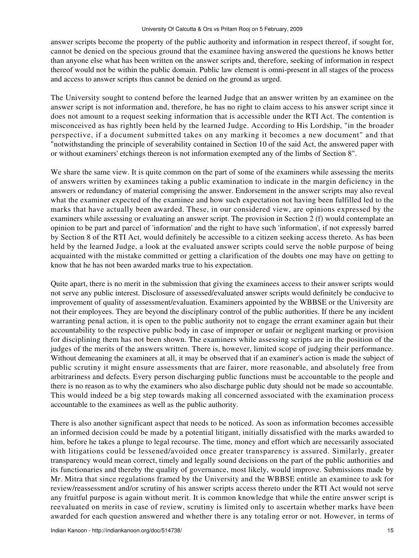answer scripts become the property of the public authority and information in respect thereof, if sought for, cannot be denied on the specious ground that the examinee having answered the questions he knows better than anyone else what has been written on the answer scripts and, therefore, seeking of information in respect thereof would not be within the public domain. Public law element is omni-present in all stages of the process and access to answer scripts thus cannot be denied on the ground as urged.

The University sought to contend before the learned Judge that an answer written by an examinee on the answer script is not information and, therefore, he has no right to claim access to his answer script since it does not amount to a request seeking information that is accessible under the RTI Act. The contention is misconceived as has rightly been held by the learned Judge. According to His Lordship, "in the broader perspective, if a document submitted takes on any marking it becomes a new document" and that "notwithstanding the principle of severability contained in Section 10 of the said Act, the answered paper with or without examiners' etchings thereon is not information exempted any of the limbs of Section 8".

We share the same view. It is quite common on the part of some of the examiners while assessing the merits of answers written by examinees taking a public examination to indicate in the margin deficiency in the answers or redundancy of material comprising the answer. Endorsement in the answer scripts may also reveal what the examiner expected of the examinee and how such expectation not having been fulfilled led to the marks that have actually been awarded. These, in our considered view, are opinions expressed by the examiners while assessing or evaluating an answer script. The provision in Section 2 (f) would contemplate an opinion to be part and parcel of 'information' and the right to have such 'information', if not expressly barred by Section 8 of the RTI Act, would definitely be accessible to a citizen seeking access thereto. As has been held by the learned Judge, a look at the evaluated answer scripts could serve the noble purpose of being acquainted with the mistake committed or getting a clarification of the doubts one may have on getting to know that he has not been awarded marks true to his expectation.

Quite apart, there is no merit in the submission that giving the examinees access to their answer scripts would not serve any public interest. Disclosure of assessed/evaluated answer scripts would definitely be conducive to improvement of quality of assessment/evaluation. Examiners appointed by the WBBSE or the University are not their employees. They are beyond the disciplinary control of the public authorities. If there be any incident warranting penal action, it is open to the public authority not to engage the errant examiner again but their accountability to the respective public body in case of improper or unfair or negligent marking or provision for disciplining them has not been shown. The examiners while assessing scripts are in the position of the judges of the merits of the answers written. There is, however, limited scope of judging their performance. Without demeaning the examiners at all, it may be observed that if an examiner's action is made the subject of public scrutiny it might ensure assessments that are fairer, more reasonable, and absolutely free from arbitrariness and defects. Every person discharging public functions must be accountable to the people and there is no reason as to why the examiners who also discharge public duty should not be made so accountable. This would indeed be a big step towards making all concerned associated with the examination process accountable to the examinees as well as the public authority.

There is also another significant aspect that needs to be noticed. As soon as information becomes accessible an informed decision could be made by a potential litigant, initially dissatisfied with the marks awarded to him, before he takes a plunge to legal recourse. The time, money and effort which are necessarily associated with litigations could be lessened/avoided once greater transparency is assured. Similarly, greater transparency would mean correct, timely and legally sound decisions on the part of the public authorities and its functionaries and thereby the quality of governance, most likely, would improve. Submissions made by Mr. Mitra that since regulations framed by the University and the WBBSE entitle an examinee to ask for review/reassessment and/or scrutiny of his answer scripts access thereto under the RTI Act would not serve any fruitful purpose is again without merit. It is common knowledge that while the entire answer script is reevaluated on merits in case of review, scrutiny is limited only to ascertain whether marks have been awarded for each question answered and whether there is any totaling error or not. However, in terms of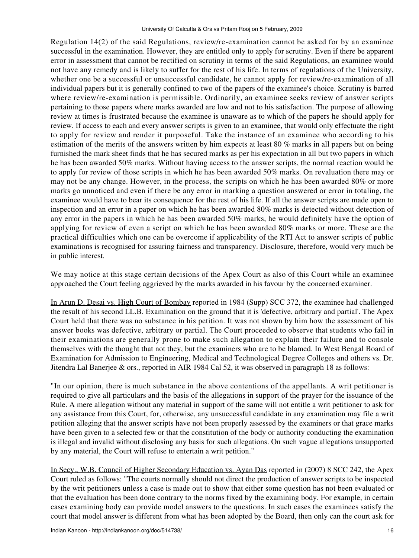Regulation 14(2) of the said Regulations, review/re-examination cannot be asked for by an examinee successful in the examination. However, they are entitled only to apply for scrutiny. Even if there be apparent error in assessment that cannot be rectified on scrutiny in terms of the said Regulations, an examinee would not have any remedy and is likely to suffer for the rest of his life. In terms of regulations of the University, whether one be a successful or unsuccessful candidate, he cannot apply for review/re-examination of all individual papers but it is generally confined to two of the papers of the examinee's choice. Scrutiny is barred where review/re-examination is permissible. Ordinarily, an examinee seeks review of answer scripts pertaining to those papers where marks awarded are low and not to his satisfaction. The purpose of allowing review at times is frustrated because the examinee is unaware as to which of the papers he should apply for review. If access to each and every answer scripts is given to an examinee, that would only effectuate the right to apply for review and render it purposeful. Take the instance of an examinee who according to his estimation of the merits of the answers written by him expects at least 80 % marks in all papers but on being furnished the mark sheet finds that he has secured marks as per his expectation in all but two papers in which he has been awarded 50% marks. Without having access to the answer scripts, the normal reaction would be to apply for review of those scripts in which he has been awarded 50% marks. On revaluation there may or may not be any change. However, in the process, the scripts on which he has been awarded 80% or more marks go unnoticed and even if there be any error in marking a question answered or error in totaling, the examinee would have to bear its consequence for the rest of his life. If all the answer scripts are made open to inspection and an error in a paper on which he has been awarded 80% marks is detected without detection of any error in the papers in which he has been awarded 50% marks, he would definitely have the option of applying for review of even a script on which he has been awarded 80% marks or more. These are the practical difficulties which one can be overcome if applicability of the RTI Act to answer scripts of public examinations is recognised for assuring fairness and transparency. Disclosure, therefore, would very much be in public interest.

We may notice at this stage certain decisions of the Apex Court as also of this Court while an examinee approached the Court feeling aggrieved by the marks awarded in his favour by the concerned examiner.

In Arun D. Desai vs. High Court of Bombay reported in 1984 (Supp) SCC 372, the examinee had challenged the result of his second LL.B. Examination on the ground that it is 'defective, arbitrary and partial'. The Apex Court held that there was no substance in his petition. It was not shown by him how the assessment of his answer books was defective, arbitrary or partial. The Court proceeded to observe that students who fail in their examinations are generally prone to make such allegation to explain their failure and to console themselves with the thought that not they, but the examiners who are to be blamed. In West Bengal Board of Examination for Admission to Engineering, Medical and Technological Degree Colleges and others vs. Dr. Jitendra Lal Banerjee & ors., reported in AIR 1984 Cal 52, it was observed in paragraph 18 as follows:

"In our opinion, there is much substance in the above contentions of the appellants. A writ petitioner is required to give all particulars and the basis of the allegations in support of the prayer for the issuance of the Rule. A mere allegation without any material in support of the same will not entitle a writ petitioner to ask for any assistance from this Court, for, otherwise, any unsuccessful candidate in any examination may file a writ petition alleging that the answer scripts have not been properly assessed by the examiners or that grace marks have been given to a selected few or that the constitution of the body or authority conducting the examination is illegal and invalid without disclosing any basis for such allegations. On such vague allegations unsupported by any material, the Court will refuse to entertain a writ petition."

In Secy., W.B. Council of Higher Secondary Education vs. Ayan Das reported in (2007) 8 SCC 242, the Apex Court ruled as follows: "The courts normally should not direct the production of answer scripts to be inspected by the writ petitioners unless a case is made out to show that either some question has not been evaluated or that the evaluation has been done contrary to the norms fixed by the examining body. For example, in certain cases examining body can provide model answers to the questions. In such cases the examinees satisfy the court that model answer is different from what has been adopted by the Board, then only can the court ask for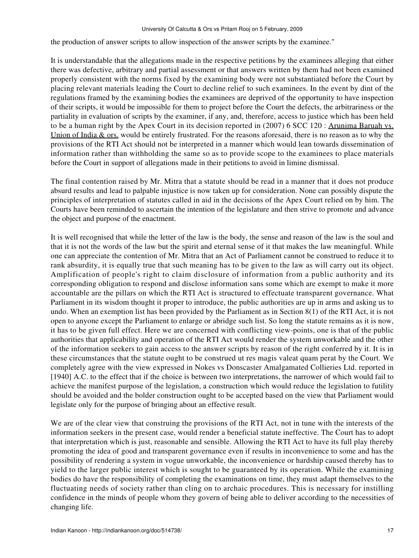the production of answer scripts to allow inspection of the answer scripts by the examinee."

It is understandable that the allegations made in the respective petitions by the examinees alleging that either there was defective, arbitrary and partial assessment or that answers written by them had not been examined properly consistent with the norms fixed by the examining body were not substantiated before the Court by placing relevant materials leading the Court to decline relief to such examinees. In the event by dint of the regulations framed by the examining bodies the examinees are deprived of the opportunity to have inspection of their scripts, it would be impossible for them to project before the Court the defects, the arbitrariness or the partiality in evaluation of scripts by the examiner, if any, and, therefore, access to justice which has been held to be a human right by the Apex Court in its decision reported in (2007) 6 SCC 120 : Arunima Baruah vs. Union of India & ors. would be entirely frustrated. For the reasons aforesaid, there is no reason as to why the provisions of the RTI Act should not be interpreted in a manner which would lean towards dissemination of information rather than withholding the same so as to provide scope to the examinees to place materials before the Court in support of allegations made in their petitions to avoid in limine dismissal.

The final contention raised by Mr. Mitra that a statute should be read in a manner that it does not produce absurd results and lead to palpable injustice is now taken up for consideration. None can possibly dispute the principles of interpretation of statutes called in aid in the decisions of the Apex Court relied on by him. The Courts have been reminded to ascertain the intention of the legislature and then strive to promote and advance the object and purpose of the enactment.

It is well recognised that while the letter of the law is the body, the sense and reason of the law is the soul and that it is not the words of the law but the spirit and eternal sense of it that makes the law meaningful. While one can appreciate the contention of Mr. Mitra that an Act of Parliament cannot be construed to reduce it to rank absurdity, it is equally true that such meaning has to be given to the law as will carry out its object. Amplification of people's right to claim disclosure of information from a public authority and its corresponding obligation to respond and disclose information sans some which are exempt to make it more accountable are the pillars on which the RTI Act is structured to effectuate transparent governance. What Parliament in its wisdom thought it proper to introduce, the public authorities are up in arms and asking us to undo. When an exemption list has been provided by the Parliament as in Section 8(1) of the RTI Act, it is not open to anyone except the Parliament to enlarge or abridge such list. So long the statute remains as it is now, it has to be given full effect. Here we are concerned with conflicting view-points, one is that of the public authorities that applicability and operation of the RTI Act would render the system unworkable and the other of the information seekers to gain access to the answer scripts by reason of the right conferred by it. It is in these circumstances that the statute ought to be construed ut res magis valeat quam perat by the Court. We completely agree with the view expressed in Nokes vs Donscaster Amalgamated Collieries Ltd. reported in [1940] A.C. to the effect that if the choice is between two interpretations, the narrower of which would fail to achieve the manifest purpose of the legislation, a construction which would reduce the legislation to futility should be avoided and the bolder construction ought to be accepted based on the view that Parliament would legislate only for the purpose of bringing about an effective result.

We are of the clear view that construing the provisions of the RTI Act, not in tune with the interests of the information seekers in the present case, would render a beneficial statute ineffective. The Court has to adopt that interpretation which is just, reasonable and sensible. Allowing the RTI Act to have its full play thereby promoting the idea of good and transparent governance even if results in inconvenience to some and has the possibility of rendering a system in vogue unworkable, the inconvenience or hardship caused thereby has to yield to the larger public interest which is sought to be guaranteed by its operation. While the examining bodies do have the responsibility of completing the examinations on time, they must adapt themselves to the fluctuating needs of society rather than cling on to archaic procedures. This is necessary for instilling confidence in the minds of people whom they govern of being able to deliver according to the necessities of changing life.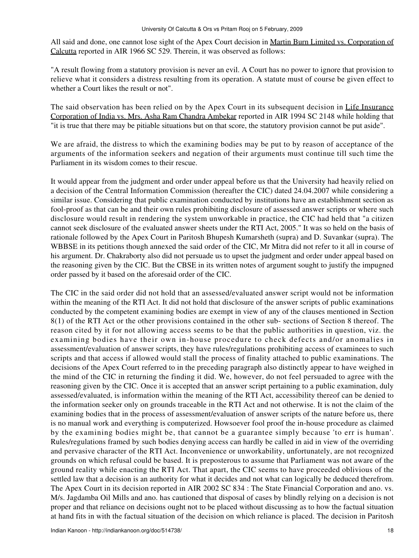All said and done, one cannot lose sight of the Apex Court decision in Martin Burn Limited vs. Corporation of Calcutta reported in AIR 1966 SC 529. Therein, it was observed as follows:

"A result flowing from a statutory provision is never an evil. A Court has no power to ignore that provision to relieve what it considers a distress resulting from its operation. A statute must of course be given effect to whether a Court likes the result or not".

The said observation has been relied on by the Apex Court in its subsequent decision in Life Insurance Corporation of India vs. Mrs. Asha Ram Chandra Ambekar reported in AIR 1994 SC 2148 while holding that "it is true that there may be pitiable situations but on that score, the statutory provision cannot be put aside".

We are afraid, the distress to which the examining bodies may be put to by reason of acceptance of the arguments of the information seekers and negation of their arguments must continue till such time the Parliament in its wisdom comes to their rescue.

It would appear from the judgment and order under appeal before us that the University had heavily relied on a decision of the Central Information Commission (hereafter the CIC) dated 24.04.2007 while considering a similar issue. Considering that public examination conducted by institutions have an establishment section as fool-proof as that can be and their own rules prohibiting disclosure of assessed answer scripts or where such disclosure would result in rendering the system unworkable in practice, the CIC had held that "a citizen cannot seek disclosure of the evaluated answer sheets under the RTI Act, 2005." It was so held on the basis of rationale followed by the Apex Court in Paritosh Bhupesh Kumarsheth (supra) and D. Suvankar (supra). The WBBSE in its petitions though annexed the said order of the CIC, Mr Mitra did not refer to it all in course of his argument. Dr. Chakraborty also did not persuade us to upset the judgment and order under appeal based on the reasoning given by the CIC. But the CBSE in its written notes of argument sought to justify the impugned order passed by it based on the aforesaid order of the CIC.

The CIC in the said order did not hold that an assessed/evaluated answer script would not be information within the meaning of the RTI Act. It did not hold that disclosure of the answer scripts of public examinations conducted by the competent examining bodies are exempt in view of any of the clauses mentioned in Section 8(1) of the RTI Act or the other provisions contained in the other sub- sections of Section 8 thereof. The reason cited by it for not allowing access seems to be that the public authorities in question, viz. the examining bodies have their own in-house procedure to check defects and/or anomalies in assessment/evaluation of answer scripts, they have rules/regulations prohibiting access of examinees to such scripts and that access if allowed would stall the process of finality attached to public examinations. The decisions of the Apex Court referred to in the preceding paragraph also distinctly appear to have weighed in the mind of the CIC in returning the finding it did. We, however, do not feel persuaded to agree with the reasoning given by the CIC. Once it is accepted that an answer script pertaining to a public examination, duly assessed/evaluated, is information within the meaning of the RTI Act, accessibility thereof can be denied to the information seeker only on grounds traceable in the RTI Act and not otherwise. It is not the claim of the examining bodies that in the process of assessment/evaluation of answer scripts of the nature before us, there is no manual work and everything is computerized. Howsoever fool proof the in-house procedure as claimed by the examining bodies might be, that cannot be a guarantee simply because 'to err is human'. Rules/regulations framed by such bodies denying access can hardly be called in aid in view of the overriding and pervasive character of the RTI Act. Inconvenience or unworkability, unfortunately, are not recognized grounds on which refusal could be based. It is preposterous to assume that Parliament was not aware of the ground reality while enacting the RTI Act. That apart, the CIC seems to have proceeded oblivious of the settled law that a decision is an authority for what it decides and not what can logically be deduced therefrom. The Apex Court in its decision reported in AIR 2002 SC 834 : The State Financial Corporation and ano. vs. M/s. Jagdamba Oil Mills and ano. has cautioned that disposal of cases by blindly relying on a decision is not proper and that reliance on decisions ought not to be placed without discussing as to how the factual situation at hand fits in with the factual situation of the decision on which reliance is placed. The decision in Paritosh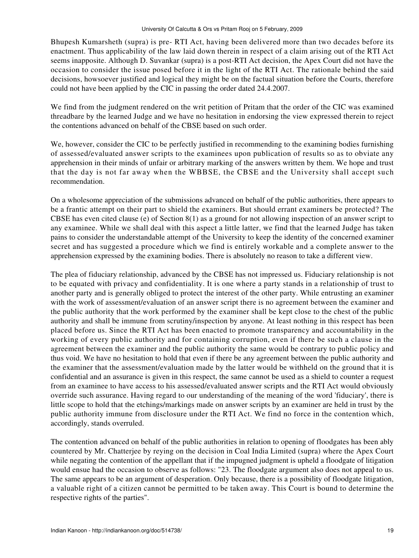Bhupesh Kumarsheth (supra) is pre- RTI Act, having been delivered more than two decades before its enactment. Thus applicability of the law laid down therein in respect of a claim arising out of the RTI Act seems inapposite. Although D. Suvankar (supra) is a post-RTI Act decision, the Apex Court did not have the occasion to consider the issue posed before it in the light of the RTI Act. The rationale behind the said decisions, howsoever justified and logical they might be on the factual situation before the Courts, therefore could not have been applied by the CIC in passing the order dated 24.4.2007.

We find from the judgment rendered on the writ petition of Pritam that the order of the CIC was examined threadbare by the learned Judge and we have no hesitation in endorsing the view expressed therein to reject the contentions advanced on behalf of the CBSE based on such order.

We, however, consider the CIC to be perfectly justified in recommending to the examining bodies furnishing of assessed/evaluated answer scripts to the examinees upon publication of results so as to obviate any apprehension in their minds of unfair or arbitrary marking of the answers written by them. We hope and trust that the day is not far away when the WBBSE, the CBSE and the University shall accept such recommendation.

On a wholesome appreciation of the submissions advanced on behalf of the public authorities, there appears to be a frantic attempt on their part to shield the examiners. But should errant examiners be protected? The CBSE has even cited clause (e) of Section 8(1) as a ground for not allowing inspection of an answer script to any examinee. While we shall deal with this aspect a little latter, we find that the learned Judge has taken pains to consider the understandable attempt of the University to keep the identity of the concerned examiner secret and has suggested a procedure which we find is entirely workable and a complete answer to the apprehension expressed by the examining bodies. There is absolutely no reason to take a different view.

The plea of fiduciary relationship, advanced by the CBSE has not impressed us. Fiduciary relationship is not to be equated with privacy and confidentiality. It is one where a party stands in a relationship of trust to another party and is generally obliged to protect the interest of the other party. While entrusting an examiner with the work of assessment/evaluation of an answer script there is no agreement between the examiner and the public authority that the work performed by the examiner shall be kept close to the chest of the public authority and shall be immune from scrutiny/inspection by anyone. At least nothing in this respect has been placed before us. Since the RTI Act has been enacted to promote transparency and accountability in the working of every public authority and for containing corruption, even if there be such a clause in the agreement between the examiner and the public authority the same would be contrary to public policy and thus void. We have no hesitation to hold that even if there be any agreement between the public authority and the examiner that the assessment/evaluation made by the latter would be withheld on the ground that it is confidential and an assurance is given in this respect, the same cannot be used as a shield to counter a request from an examinee to have access to his assessed/evaluated answer scripts and the RTI Act would obviously override such assurance. Having regard to our understanding of the meaning of the word 'fiduciary', there is little scope to hold that the etchings/markings made on answer scripts by an examiner are held in trust by the public authority immune from disclosure under the RTI Act. We find no force in the contention which, accordingly, stands overruled.

The contention advanced on behalf of the public authorities in relation to opening of floodgates has been ably countered by Mr. Chatterjee by reying on the decision in Coal India Limited (supra) where the Apex Court while negating the contention of the appellant that if the impugned judgment is upheld a floodgate of litigation would ensue had the occasion to observe as follows: "23. The floodgate argument also does not appeal to us. The same appears to be an argument of desperation. Only because, there is a possibility of floodgate litigation, a valuable right of a citizen cannot be permitted to be taken away. This Court is bound to determine the respective rights of the parties".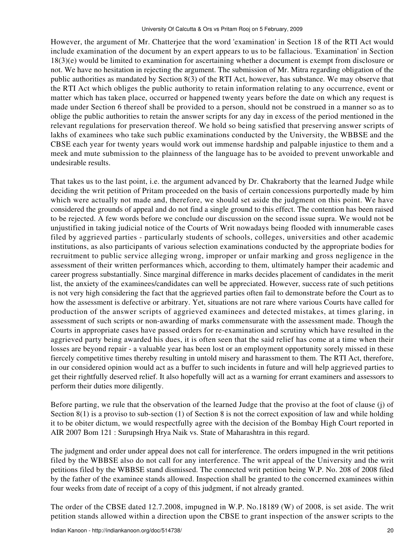However, the argument of Mr. Chatterjee that the word 'examination' in Section 18 of the RTI Act would include examination of the document by an expert appears to us to be fallacious. 'Examination' in Section 18(3)(e) would be limited to examination for ascertaining whether a document is exempt from disclosure or not. We have no hesitation in rejecting the argument. The submission of Mr. Mitra regarding obligation of the public authorities as mandated by Section 8(3) of the RTI Act, however, has substance. We may observe that the RTI Act which obliges the public authority to retain information relating to any occurrence, event or matter which has taken place, occurred or happened twenty years before the date on which any request is made under Section 6 thereof shall be provided to a person, should not be construed in a manner so as to oblige the public authorities to retain the answer scripts for any day in excess of the period mentioned in the relevant regulations for preservation thereof. We hold so being satisfied that preserving answer scripts of lakhs of examinees who take such public examinations conducted by the University, the WBBSE and the CBSE each year for twenty years would work out immense hardship and palpable injustice to them and a meek and mute submission to the plainness of the language has to be avoided to prevent unworkable and undesirable results.

That takes us to the last point, i.e. the argument advanced by Dr. Chakraborty that the learned Judge while deciding the writ petition of Pritam proceeded on the basis of certain concessions purportedly made by him which were actually not made and, therefore, we should set aside the judgment on this point. We have considered the grounds of appeal and do not find a single ground to this effect. The contention has been raised to be rejected. A few words before we conclude our discussion on the second issue supra. We would not be unjustified in taking judicial notice of the Courts of Writ nowadays being flooded with innumerable cases filed by aggrieved parties - particularly students of schools, colleges, universities and other academic institutions, as also participants of various selection examinations conducted by the appropriate bodies for recruitment to public service alleging wrong, improper or unfair marking and gross negligence in the assessment of their written performances which, according to them, ultimately hamper their academic and career progress substantially. Since marginal difference in marks decides placement of candidates in the merit list, the anxiety of the examinees/candidates can well be appreciated. However, success rate of such petitions is not very high considering the fact that the aggrieved parties often fail to demonstrate before the Court as to how the assessment is defective or arbitrary. Yet, situations are not rare where various Courts have called for production of the answer scripts of aggrieved examinees and detected mistakes, at times glaring, in assessment of such scripts or non-awarding of marks commensurate with the assessment made. Though the Courts in appropriate cases have passed orders for re-examination and scrutiny which have resulted in the aggrieved party being awarded his dues, it is often seen that the said relief has come at a time when their losses are beyond repair - a valuable year has been lost or an employment opportunity sorely missed in these fiercely competitive times thereby resulting in untold misery and harassment to them. The RTI Act, therefore, in our considered opinion would act as a buffer to such incidents in future and will help aggrieved parties to get their rightfully deserved relief. It also hopefully will act as a warning for errant examiners and assessors to perform their duties more diligently.

Before parting, we rule that the observation of the learned Judge that the proviso at the foot of clause (j) of Section 8(1) is a proviso to sub-section (1) of Section 8 is not the correct exposition of law and while holding it to be obiter dictum, we would respectfully agree with the decision of the Bombay High Court reported in AIR 2007 Bom 121 : Surupsingh Hrya Naik vs. State of Maharashtra in this regard.

The judgment and order under appeal does not call for interference. The orders impugned in the writ petitions filed by the WBBSE also do not call for any interference. The writ appeal of the University and the writ petitions filed by the WBBSE stand dismissed. The connected writ petition being W.P. No. 208 of 2008 filed by the father of the examinee stands allowed. Inspection shall be granted to the concerned examinees within four weeks from date of receipt of a copy of this judgment, if not already granted.

The order of the CBSE dated 12.7.2008, impugned in W.P. No.18189 (W) of 2008, is set aside. The writ petition stands allowed within a direction upon the CBSE to grant inspection of the answer scripts to the